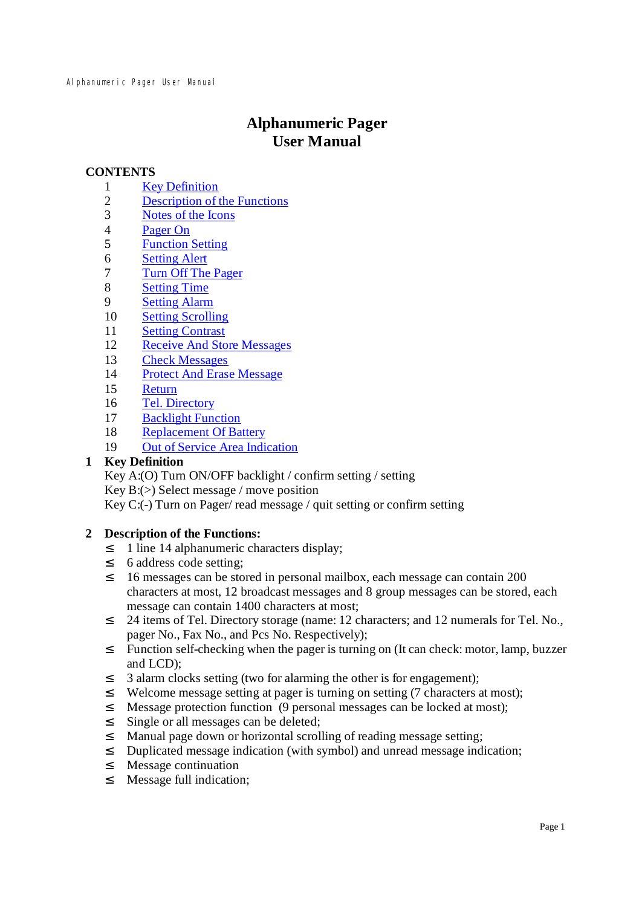# **Alphanumeric Pager User Manual**

# **CONTENTS**

- 1 Key Definition
- 2 Description of the Functions
- 3 Notes of the Icons
- 4 Pager On
- 5 Function Setting
- 6 Setting Alert
- 7 Turn Off The Pager
- 8 Setting Time
- 9 Setting Alarm
- 10 Setting Scrolling
- 11 Setting Contrast
- 12 Receive And Store Messages
- 13 Check Messages
- 14 Protect And Erase Message
- 15 Return
- 16 Tel. Directory
- 17 Backlight Function
- 18 Replacement Of Battery
- 19 Out of Service Area Indication

# **1 Key Definition**

Key A:(O) Turn ON/OFF backlight / confirm setting / setting Key B:(>) Select message / move position Key C:(-) Turn on Pager/ read message / quit setting or confirm setting

# **2 Description of the Functions:**

- <sup>2</sup> 1 line 14 alphanumeric characters display;
- <sup>2</sup> 6 address code setting;
- <sup>2</sup> 16 messages can be stored in personal mailbox, each message can contain 200 characters at most, 12 broadcast messages and 8 group messages can be stored, each message can contain 1400 characters at most;
- <sup>2</sup> 24 items of Tel. Directory storage (name: 12 characters; and 12 numerals for Tel. No., pager No., Fax No., and Pcs No. Respectively);
- <sup>2</sup> Function self-checking when the pager is turning on (It can check: motor, lamp, buzzer and LCD);
- <sup>2</sup> 3 alarm clocks setting (two for alarming the other is for engagement);
- <sup>2</sup> Welcome message setting at pager is turning on setting (7 characters at most);
- <sup>2</sup> Message protection function (9 personal messages can be locked at most);
- <sup>2</sup> Single or all messages can be deleted;
- <sup>2</sup> Manual page down or horizontal scrolling of reading message setting;
- ² Duplicated message indication (with symbol) and unread message indication;
- ² Message continuation
- <sup>2</sup> Message full indication;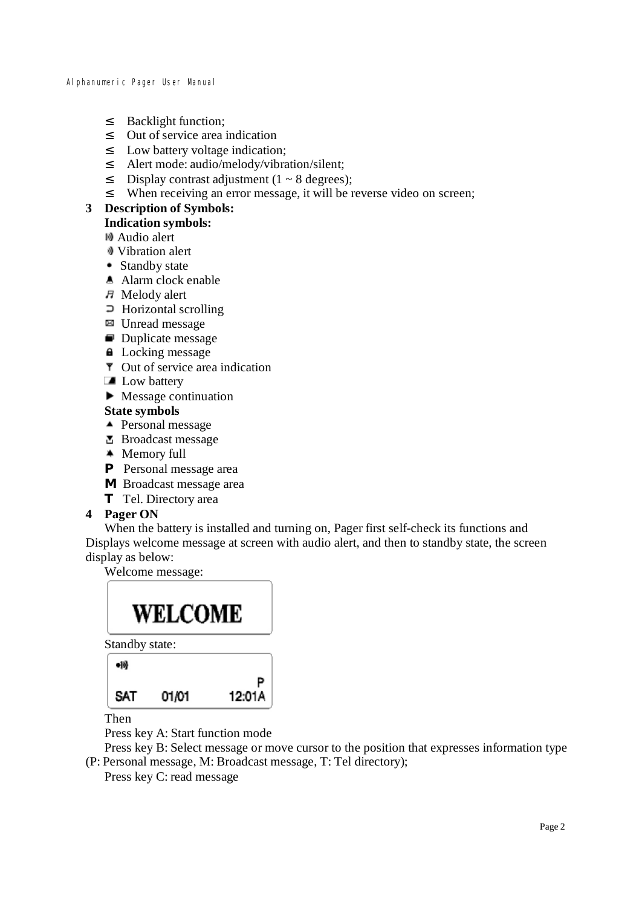- <sup>2</sup> Backlight function;
- ² Out of service area indication
- ² Low battery voltage indication;
- ² Alert mode: audio/melody/vibration/silent;
- <sup>2</sup> Display contrast adjustment  $(1 8$  degrees);
- <sup>2</sup> When receiving an error message, it will be reverse video on screen;

#### **3 Description of Symbols: Indication symbols:**

Audio alert

- Vibration alert
- Standby state
- **A** Alarm clock enable
- $H$  Melody alert
- $\supset$  Horizontal scrolling
- Unread message
- Duplicate message
- **Locking message**
- $\overline{\mathbf{r}}$  Out of service area indication
- **Low battery**
- $\blacktriangleright$  Message continuation

# **State symbols**

- ▲ Personal message
- **B** Broadcast message
- **\*** Memory full
- **P** Personal message area
- **M** Broadcast message area
- **T** Tel. Directory area

# **4 Pager ON**

When the battery is installed and turning on, Pager first self-check its functions and Displays welcome message at screen with audio alert, and then to standby state, the screen display as below:

Welcome message:

# WELCOME

Standby state:

| SAT | 01/01 | P<br>12:01A |
|-----|-------|-------------|
| 喇叭  |       |             |

Then

Press key A: Start function mode

Press key B: Select message or move cursor to the position that expresses information type (P: Personal message, M: Broadcast message, T: Tel directory);

Press key C: read message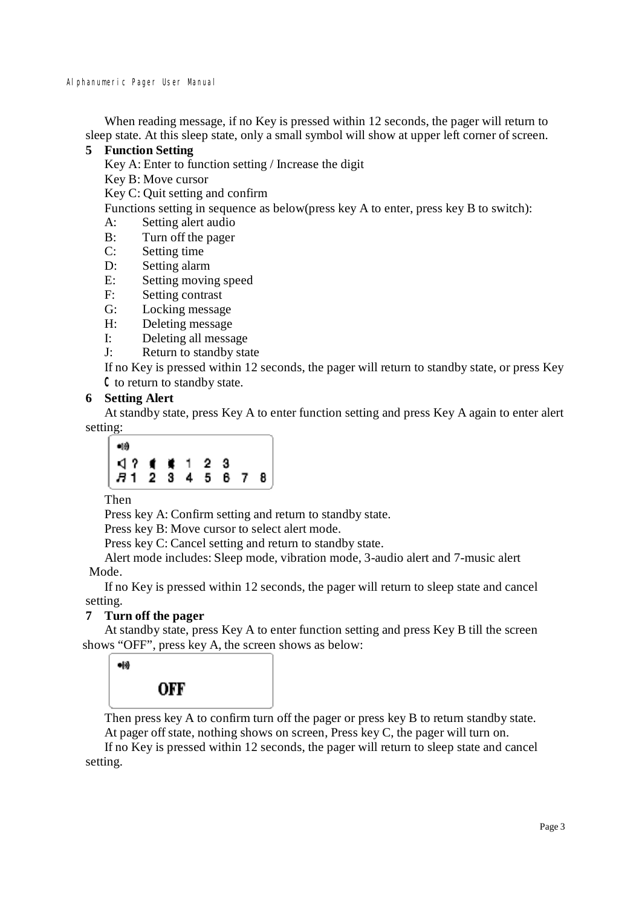When reading message, if no Key is pressed within 12 seconds, the pager will return to sleep state. At this sleep state, only a small symbol will show at upper left corner of screen.

# **5 Function Setting**

Key A: Enter to function setting / Increase the digit

Key B: Move cursor

Key C: Quit setting and confirm

Functions setting in sequence as below(press key A to enter, press key B to switch):

- A: Setting alert audio
- B: Turn off the pager
- C: Setting time
- D: Setting alarm
- E: Setting moving speed
- F: Setting contrast
- G: Locking message
- H: Deleting message
- I: Deleting all message
- J: Return to standby state

If no Key is pressed within 12 seconds, the pager will return to standby state, or press Key Cto return to standby state.

# **6 Setting Alert**

At standby state, press Key A to enter function setting and press Key A again to enter alert setting:



Then

Press key A: Confirm setting and return to standby state.

Press key B: Move cursor to select alert mode.

Press key C: Cancel setting and return to standby state.

Alert mode includes: Sleep mode, vibration mode, 3-audio alert and 7-music alert Mode.

If no Key is pressed within 12 seconds, the pager will return to sleep state and cancel setting.

# **7 Turn off the pager**

At standby state, press Key A to enter function setting and press Key B till the screen shows "OFF", press key A, the screen shows as below:

| 响 |     |  |
|---|-----|--|
|   | OFF |  |

Then press key A to confirm turn off the pager or press key B to return standby state. At pager off state, nothing shows on screen, Press key C, the pager will turn on. If no Key is pressed within 12 seconds, the pager will return to sleep state and cancel setting.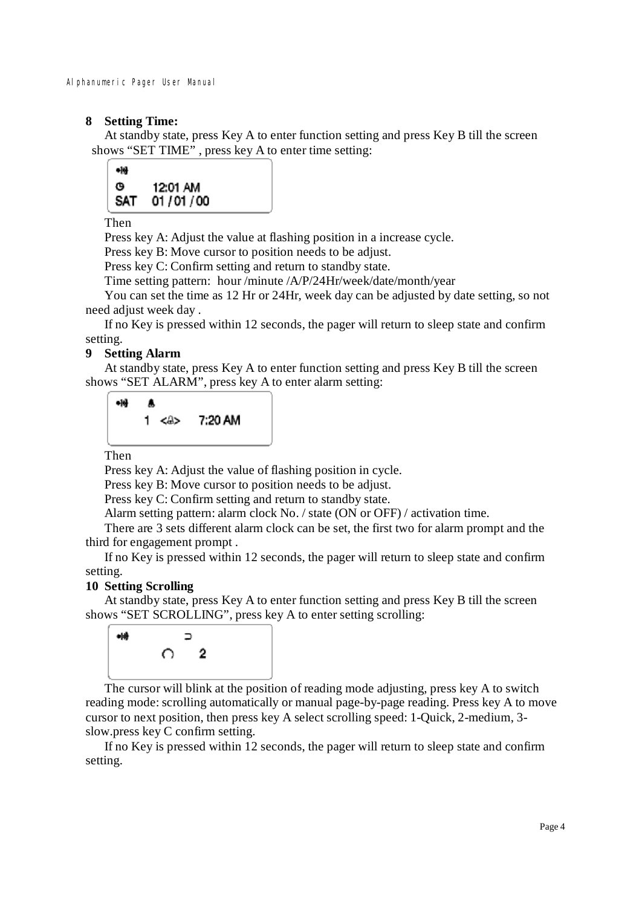# **8 Setting Time:**

At standby state, press Key A to enter function setting and press Key B till the screen shows "SET TIME" , press key A to enter time setting:



Then

Press key A: Adjust the value at flashing position in a increase cycle.

Press key B: Move cursor to position needs to be adjust.

Press key C: Confirm setting and return to standby state.

Time setting pattern: hour /minute /A/P/24Hr/week/date/month/year

You can set the time as 12 Hr or 24Hr, week day can be adjusted by date setting, so not need adjust week day.

If no Key is pressed within 12 seconds, the pager will return to sleep state and confirm setting.

# **9 Setting Alarm**

At standby state, press Key A to enter function setting and press Key B till the screen shows "SET ALARM", press key A to enter alarm setting:



Then

Press key A: Adjust the value of flashing position in cycle.

Press key B: Move cursor to position needs to be adjust.

Press key C: Confirm setting and return to standby state.

Alarm setting pattern: alarm clock No. / state (ON or OFF) / activation time.

There are 3 sets different alarm clock can be set, the first two for alarm prompt and the third for engagement prompt .

If no Key is pressed within 12 seconds, the pager will return to sleep state and confirm setting.

# **10 Setting Scrolling**

At standby state, press Key A to enter function setting and press Key B till the screen shows "SET SCROLLING", press key A to enter setting scrolling:



The cursor will blink at the position of reading mode adjusting, press key A to switch reading mode: scrolling automatically or manual page-by-page reading. Press key A to move cursor to next position, then press key A select scrolling speed: 1-Quick, 2-medium, 3 slow.press key C confirm setting.

If no Key is pressed within 12 seconds, the pager will return to sleep state and confirm setting.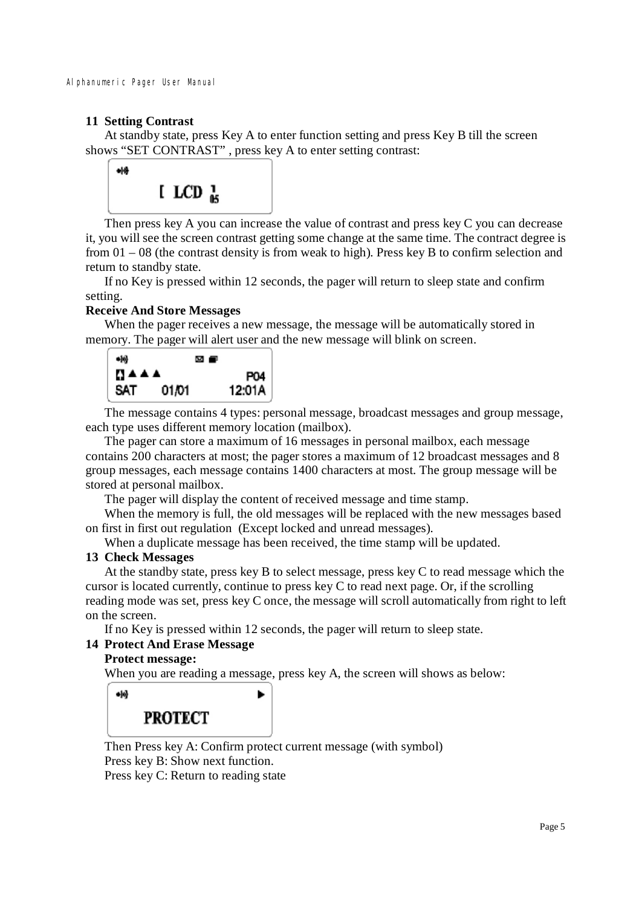# **11 Setting Contrast**

At standby state, press Key A to enter function setting and press Key B till the screen shows "SET CONTRAST" , press key A to enter setting contrast:



Then press key A you can increase the value of contrast and press key C you can decrease it, you will see the screen contrast getting some change at the same time. The contract degree is from 01 – 08 (the contrast density is from weak to high). Press key B to confirm selection and return to standby state.

If no Key is pressed within 12 seconds, the pager will return to sleep state and confirm setting.

# **Receive And Store Messages**

When the pager receives a new message, the message will be automatically stored in memory. The pager will alert user and the new message will blink on screen.



The message contains 4 types: personal message, broadcast messages and group message, each type uses different memory location (mailbox).

The pager can store a maximum of 16 messages in personal mailbox, each message contains 200 characters at most; the pager stores a maximum of 12 broadcast messages and 8 group messages, each message contains 1400 characters at most. The group message will be stored at personal mailbox.

The pager will display the content of received message and time stamp.

When the memory is full, the old messages will be replaced with the new messages based on first in first out regulation (Except locked and unread messages).

When a duplicate message has been received, the time stamp will be updated.

# **13 Check Messages**

At the standby state, press key B to select message, press key C to read message which the cursor is located currently, continue to press key C to read next page. Or, if the scrolling reading mode was set, press key C once, the message will scroll automatically from right to left on the screen.

If no Key is pressed within 12 seconds, the pager will return to sleep state.

#### **14 Protect And Erase Message**

#### **Protect message:**

When you are reading a message, press key A, the screen will shows as below:



Then Press key A: Confirm protect current message (with symbol) Press key B: Show next function.

Press key C: Return to reading state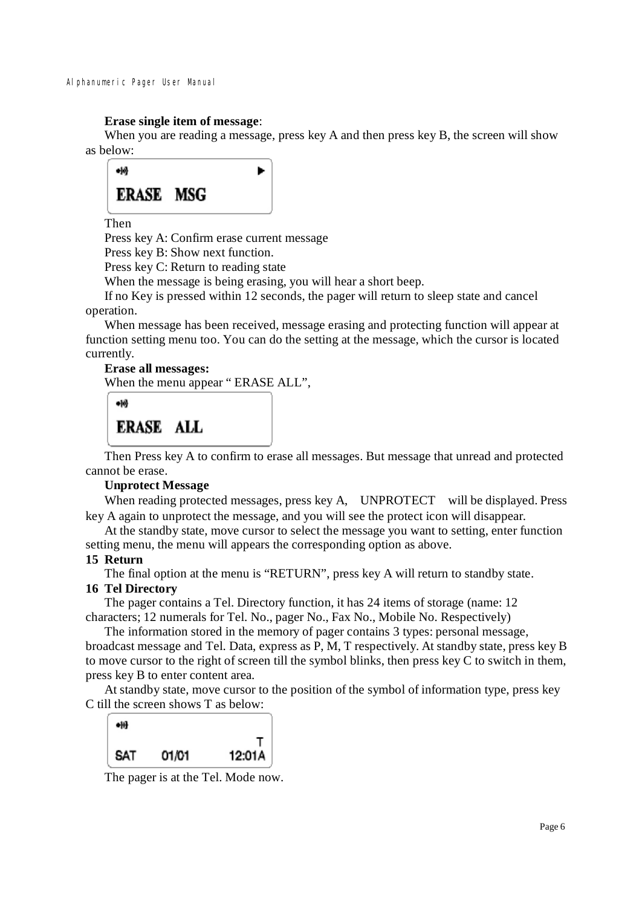#### **Erase single item of message**:

When you are reading a message, press key A and then press key B, the screen will show as below:



Then

Press key A: Confirm erase current message

Press key B: Show next function.

Press key C: Return to reading state

When the message is being erasing, you will hear a short beep.

If no Key is pressed within 12 seconds, the pager will return to sleep state and cancel operation.

When message has been received, message erasing and protecting function will appear at function setting menu too. You can do the setting at the message, which the cursor is located currently.

#### **Erase all messages:**  When the menu appear " ERASE ALL",

 $-10$ **ERASE ALL** 

Then Press key A to confirm to erase all messages. But message that unread and protected cannot be erase.

# **Unprotect Message**

When reading protected messages, press key A, UNPROTECT will be displayed. Press key A again to unprotect the message, and you will see the protect icon will disappear.

At the standby state, move cursor to select the message you want to setting, enter function setting menu, the menu will appears the corresponding option as above.

#### **15 Return**

The final option at the menu is "RETURN", press key A will return to standby state.

# **16 Tel Directory**

The pager contains a Tel. Directory function, it has 24 items of storage (name: 12 characters; 12 numerals for Tel. No., pager No., Fax No., Mobile No. Respectively)

The information stored in the memory of pager contains 3 types: personal message, broadcast message and Tel. Data, express as P, M, T respectively. At standby state, press key B to move cursor to the right of screen till the symbol blinks, then press key C to switch in them, press key B to enter content area.

At standby state, move cursor to the position of the symbol of information type, press key C till the screen shows T as below:



The pager is at the Tel. Mode now.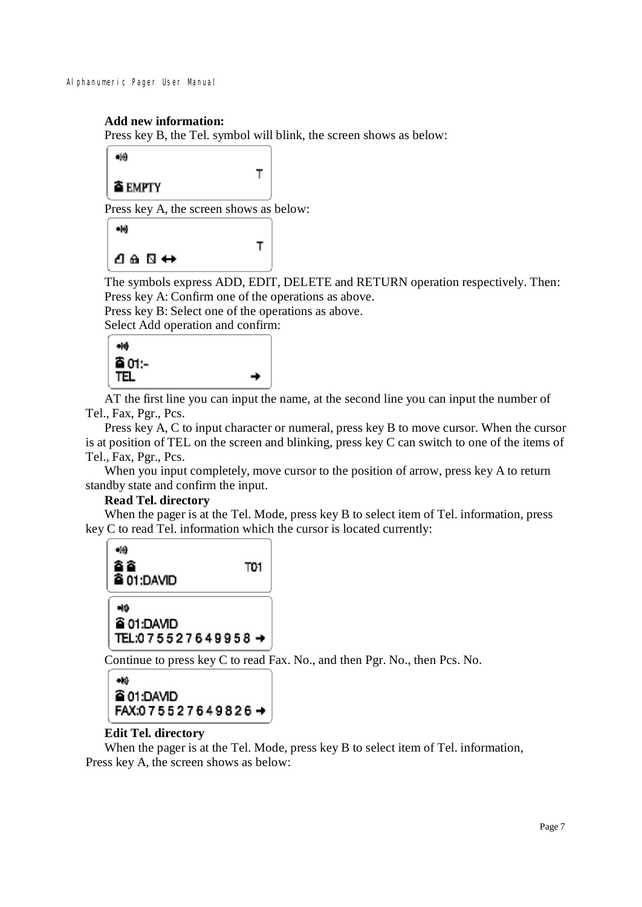# **Add new information:**

Press key B, the Tel. symbol will blink, the screen shows as below:

T

Т

 $\bullet$ **≙EMPTY** 

Press key A, the screen shows as below:

```
-19┛êД⇔
```
The symbols express ADD, EDIT, DELETE and RETURN operation respectively. Then: Press key A: Confirm one of the operations as above.

Press key B: Select one of the operations as above.

Select Add operation and confirm:



 AT the first line you can input the name, at the second line you can input the number of Tel., Fax, Pgr., Pcs.

 Press key A, C to input character or numeral, press key B to move cursor. When the cursor is at position of TEL on the screen and blinking, press key C can switch to one of the items of Tel., Fax, Pgr., Pcs.

When you input completely, move cursor to the position of arrow, press key A to return standby state and confirm the input.

#### **Read Tel. directory**

 When the pager is at the Tel. Mode, press key B to select item of Tel. information, press key C to read Tel. information which the cursor is located currently:



Continue to press key C to read Fax. No., and then Pgr. No., then Pcs. No.

```
\bullet@ 01:DAVID
FAX:075527649826→
```
# **Edit Tel. directory**

When the pager is at the Tel. Mode, press key B to select item of Tel. information, Press key A, the screen shows as below: